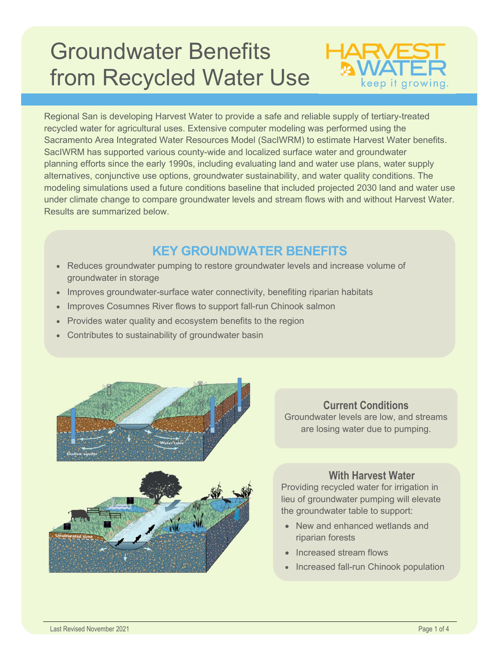# Groundwater Benefits from Recycled Water Use



Regional San is developing Harvest Water to provide a safe and reliable supply of tertiary-treated recycled water for agricultural uses. Extensive computer modeling was performed using the Sacramento Area Integrated Water Resources Model (SacIWRM) to estimate Harvest Water benefits. SacIWRM has supported various county-wide and localized surface water and groundwater planning efforts since the early 1990s, including evaluating land and water use plans, water supply alternatives, conjunctive use options, groundwater sustainability, and water quality conditions. The modeling simulations used a future conditions baseline that included projected 2030 land and water use under climate change to compare groundwater levels and stream flows with and without Harvest Water. Results are summarized below.

## KEY GROUNDWATER BENEFITS

- Reduces groundwater pumping to restore groundwater levels and increase volume of groundwater in storage
- Improves groundwater-surface water connectivity, benefiting riparian habitats
- Improves Cosumnes River flows to support fall-run Chinook salmon
- Provides water quality and ecosystem benefits to the region
- Contributes to sustainability of groundwater basin



#### Current Conditions

Groundwater levels are low, and streams are losing water due to pumping.

#### With Harvest Water

Providing recycled water for irrigation in lieu of groundwater pumping will elevate the groundwater table to support:

- New and enhanced wetlands and riparian forests
- Increased stream flows
- Increased fall-run Chinook population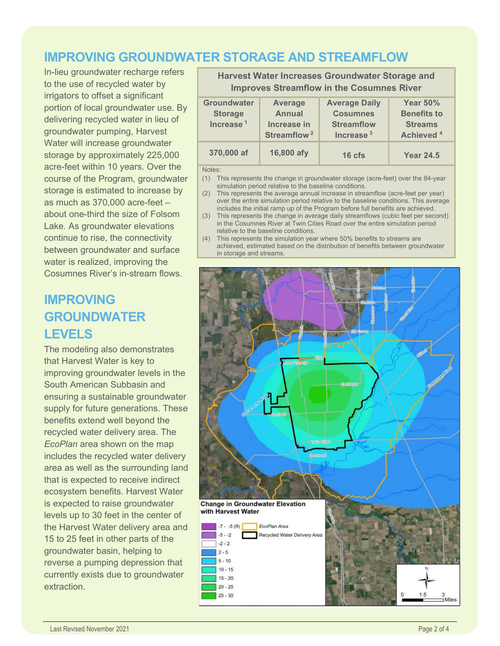#### IMPROVING GROUNDWATER STORAGE AND STREAMFLOW

In-lieu groundwater recharge refers to the use of recycled water by irrigators to offset a significant portion of local groundwater use. By delivering recycled water in lieu of groundwater pumping, Harvest Water will increase groundwater storage by approximately 225,000 acre-feet within 10 years. Over the course of the Program, groundwater storage is estimated to increase by as much as 370,000 acre-feet – about one-third the size of Folsom Lake. As groundwater elevations continue to rise, the connectivity between groundwater and surface water is realized, improving the Cosumnes River's in-stream flows.

# IMPROVING GROUNDWATER LEVELS

The modeling also demonstrates that Harvest Water is key to improving groundwater levels in the South American Subbasin and ensuring a sustainable groundwater supply for future generations. These benefits extend well beyond the recycled water delivery area. The EcoPlan area shown on the map includes the recycled water delivery area as well as the surrounding land that is expected to receive indirect ecosystem benefits. Harvest Water is expected to raise groundwater levels up to 30 feet in the center of the Harvest Water delivery area and 15 to 25 feet in other parts of the groundwater basin, helping to reverse a pumping depression that currently exists due to groundwater extraction.

Improves Streamflow in the Cosumnes River **Groundwater Storage** Increase $1$ Average Annual Increase in Streamflow<sup>2</sup> Average Daily **Cosumnes Streamflow** Increase<sup>3</sup> Year 50% Benefits to **Streams** Achieved <sup>4</sup> 370,000 af 16,800 afy 16 cfs Year 24.5

Harvest Water Increases Groundwater Storage and

Notes:

- (1) This represents the change in groundwater storage (acre-feet) over the 84-year simulation period relative to the baseline conditions.
- (2) This represents the average annual increase in streamflow (acre-feet per year) over the entire simulation period relative to the baseline conditions. This average includes the initial ramp up of the Program before full benefits are achieved.
- (3) This represents the change in average daily streamflows (cubic feet per second) in the Cosumnes River at Twin Cities Road over the entire simulation period relative to the baseline conditions.
- (4) This represents the simulation year where 50% benefits to streams are achieved, estimated based on the distribution of benefits between groundwater in storage and streams.

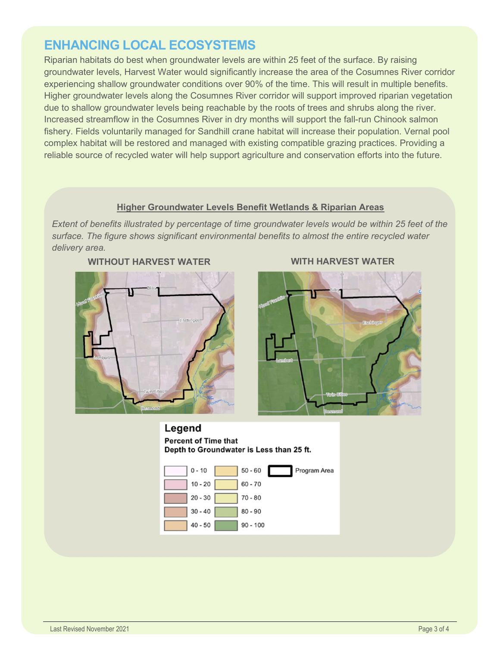### ENHANCING LOCAL ECOSYSTEMS

Riparian habitats do best when groundwater levels are within 25 feet of the surface. By raising groundwater levels, Harvest Water would significantly increase the area of the Cosumnes River corridor experiencing shallow groundwater conditions over 90% of the time. This will result in multiple benefits. Higher groundwater levels along the Cosumnes River corridor will support improved riparian vegetation due to shallow groundwater levels being reachable by the roots of trees and shrubs along the river. Increased streamflow in the Cosumnes River in dry months will support the fall-run Chinook salmon fishery. Fields voluntarily managed for Sandhill crane habitat will increase their population. Vernal pool complex habitat will be restored and managed with existing compatible grazing practices. Providing a reliable source of recycled water will help support agriculture and conservation efforts into the future.

#### Higher Groundwater Levels Benefit Wetlands & Riparian Areas

Extent of benefits illustrated by percentage of time groundwater levels would be within 25 feet of the surface. The figure shows significant environmental benefits to almost the entire recycled water delivery area.





#### WITHOUT HARVEST WATER WITH HARVEST WATER

Legend **Percent of Time that** Depth to Groundwater is Less than 25 ft.